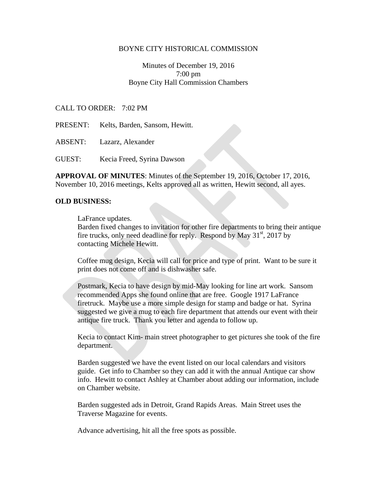### BOYNE CITY HISTORICAL COMMISSION

# Minutes of December 19, 2016 7:00 pm Boyne City Hall Commission Chambers

### CALL TO ORDER: 7:02 PM

PRESENT: Kelts, Barden, Sansom, Hewitt.

ABSENT: Lazarz, Alexander

GUEST: Kecia Freed, Syrina Dawson

**APPROVAL OF MINUTES**: Minutes of the September 19, 2016, October 17, 2016, November 10, 2016 meetings, Kelts approved all as written, Hewitt second, all ayes.

#### **OLD BUSINESS:**

LaFrance updates.

Barden fixed changes to invitation for other fire departments to bring their antique fire trucks, only need deadline for reply. Respond by May  $31<sup>st</sup>$ , 2017 by contacting Michele Hewitt.

Coffee mug design, Kecia will call for price and type of print. Want to be sure it print does not come off and is dishwasher safe.

Postmark, Kecia to have design by mid-May looking for line art work. Sansom recommended Apps she found online that are free. Google 1917 LaFrance firetruck. Maybe use a more simple design for stamp and badge or hat. Syrina suggested we give a mug to each fire department that attends our event with their antique fire truck. Thank you letter and agenda to follow up.

Kecia to contact Kim- main street photographer to get pictures she took of the fire department.

Barden suggested we have the event listed on our local calendars and visitors guide. Get info to Chamber so they can add it with the annual Antique car show info. Hewitt to contact Ashley at Chamber about adding our information, include on Chamber website.

Barden suggested ads in Detroit, Grand Rapids Areas. Main Street uses the Traverse Magazine for events.

Advance advertising, hit all the free spots as possible.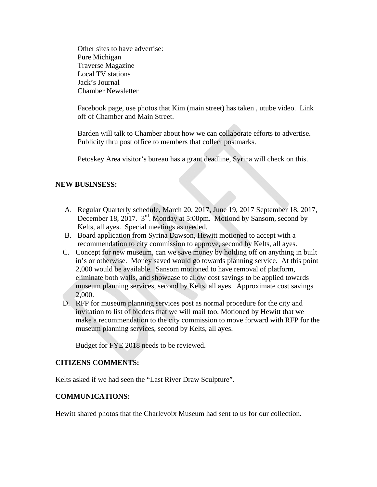Other sites to have advertise: Pure Michigan Traverse Magazine Local TV stations Jack's Journal Chamber Newsletter

Facebook page, use photos that Kim (main street) has taken , utube video. Link off of Chamber and Main Street.

Barden will talk to Chamber about how we can collaborate efforts to advertise. Publicity thru post office to members that collect postmarks.

Petoskey Area visitor's bureau has a grant deadline, Syrina will check on this.

# **NEW BUSINSESS:**

- A. Regular Quarterly schedule, March 20, 2017, June 19, 2017 September 18, 2017, December 18, 2017. 3<sup>rd</sup>. Monday at 5:00pm. Motiond by Sansom, second by Kelts, all ayes. Special meetings as needed.
- B. Board application from Syrina Dawson, Hewitt motioned to accept with a recommendation to city commission to approve, second by Kelts, all ayes.
- C. Concept for new museum, can we save money by holding off on anything in built in's or otherwise. Money saved would go towards planning service. At this point 2,000 would be available. Sansom motioned to have removal of platform, eliminate both walls, and showcase to allow cost savings to be applied towards museum planning services, second by Kelts, all ayes. Approximate cost savings 2,000.
- D. RFP for museum planning services post as normal procedure for the city and invitation to list of bidders that we will mail too. Motioned by Hewitt that we make a recommendation to the city commission to move forward with RFP for the museum planning services, second by Kelts, all ayes.

Budget for FYE 2018 needs to be reviewed.

## **CITIZENS COMMENTS:**

Kelts asked if we had seen the "Last River Draw Sculpture".

## **COMMUNICATIONS:**

Hewitt shared photos that the Charlevoix Museum had sent to us for our collection.